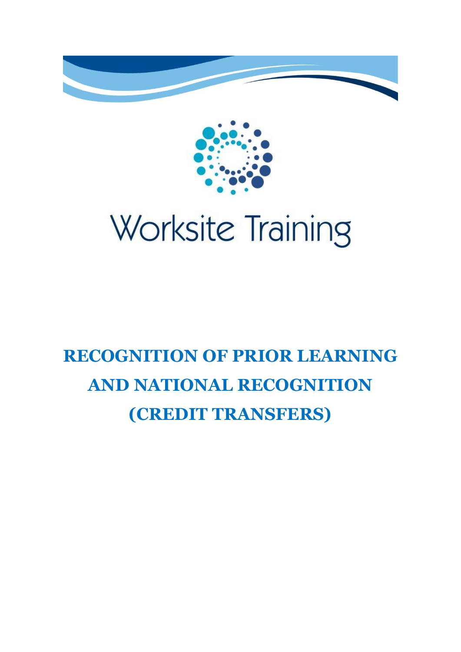



# **RECOGNITION OF PRIOR LEARNING AND NATIONAL RECOGNITION (CREDIT TRANSFERS)**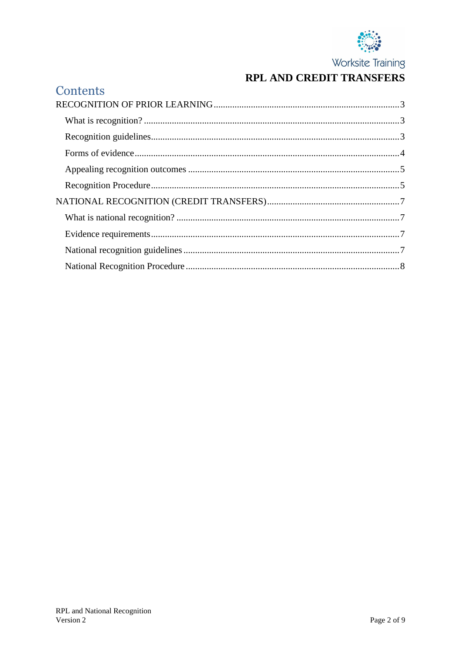

# RPL AND CREDIT TRANSFERS

| Contents |  |
|----------|--|
|          |  |
|          |  |
|          |  |
|          |  |
|          |  |
|          |  |
|          |  |
|          |  |
|          |  |
|          |  |
|          |  |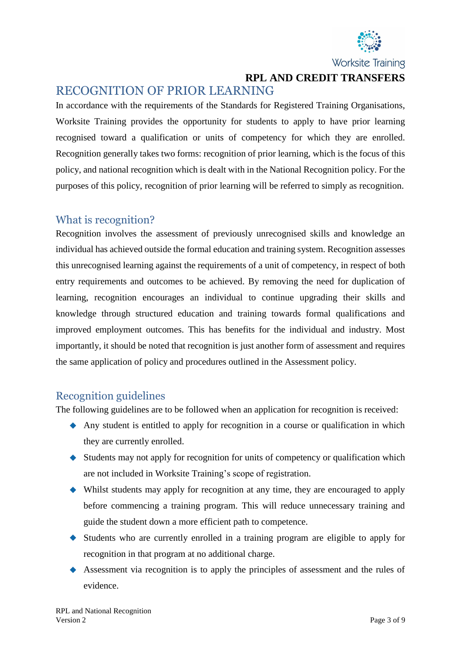

**RPL AND CREDIT TRANSFERS**

# <span id="page-2-0"></span>RECOGNITION OF PRIOR LEARNING

In accordance with the requirements of the Standards for Registered Training Organisations, Worksite Training provides the opportunity for students to apply to have prior learning recognised toward a qualification or units of competency for which they are enrolled. Recognition generally takes two forms: recognition of prior learning, which is the focus of this policy, and national recognition which is dealt with in the National Recognition policy. For the purposes of this policy, recognition of prior learning will be referred to simply as recognition.

#### <span id="page-2-1"></span>What is recognition?

Recognition involves the assessment of previously unrecognised skills and knowledge an individual has achieved outside the formal education and training system. Recognition assesses this unrecognised learning against the requirements of a unit of competency, in respect of both entry requirements and outcomes to be achieved. By removing the need for duplication of learning, recognition encourages an individual to continue upgrading their skills and knowledge through structured education and training towards formal qualifications and improved employment outcomes. This has benefits for the individual and industry. Most importantly, it should be noted that recognition is just another form of assessment and requires the same application of policy and procedures outlined in the Assessment policy.

#### <span id="page-2-2"></span>Recognition guidelines

The following guidelines are to be followed when an application for recognition is received:

- Any student is entitled to apply for recognition in a course or qualification in which they are currently enrolled.
- $\blacklozenge$  Students may not apply for recognition for units of competency or qualification which are not included in Worksite Training's scope of registration.
- Whilst students may apply for recognition at any time, they are encouraged to apply before commencing a training program. This will reduce unnecessary training and guide the student down a more efficient path to competence.
- Students who are currently enrolled in a training program are eligible to apply for recognition in that program at no additional charge.
- Assessment via recognition is to apply the principles of assessment and the rules of evidence.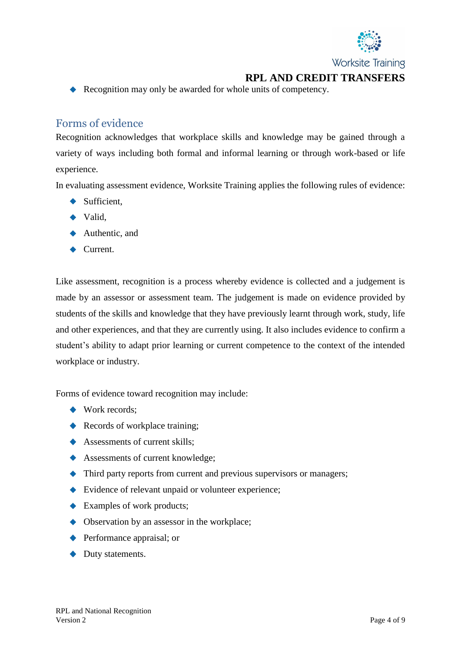

**RPL AND CREDIT TRANSFERS**

Recognition may only be awarded for whole units of competency.

#### <span id="page-3-0"></span>Forms of evidence

Recognition acknowledges that workplace skills and knowledge may be gained through a variety of ways including both formal and informal learning or through work-based or life experience.

In evaluating assessment evidence, Worksite Training applies the following rules of evidence:

- $\blacklozenge$  Sufficient,
- $\blacktriangleright$  Valid,
- ◆ Authentic, and
- ◆ Current.

Like assessment, recognition is a process whereby evidence is collected and a judgement is made by an assessor or assessment team. The judgement is made on evidence provided by students of the skills and knowledge that they have previously learnt through work, study, life and other experiences, and that they are currently using. It also includes evidence to confirm a student's ability to adapt prior learning or current competence to the context of the intended workplace or industry.

Forms of evidence toward recognition may include:

- ◆ Work records;
- Records of workplace training;
- Assessments of current skills;
- ◆ Assessments of current knowledge;
- $\blacklozenge$  Third party reports from current and previous supervisors or managers;
- Evidence of relevant unpaid or volunteer experience;
- ◆ Examples of work products;
- $\blacklozenge$  Observation by an assessor in the workplace;
- ◆ Performance appraisal; or
- ◆ Duty statements.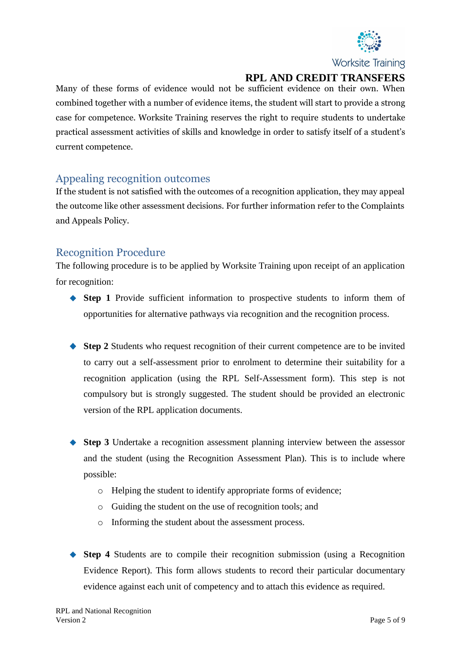

# **RPL AND CREDIT TRANSFERS**

Many of these forms of evidence would not be sufficient evidence on their own. When combined together with a number of evidence items, the student will start to provide a strong case for competence. Worksite Training reserves the right to require students to undertake practical assessment activities of skills and knowledge in order to satisfy itself of a student's current competence.

#### <span id="page-4-0"></span>Appealing recognition outcomes

If the student is not satisfied with the outcomes of a recognition application, they may appeal the outcome like other assessment decisions. For further information refer to the Complaints and Appeals Policy.

# <span id="page-4-1"></span>Recognition Procedure

The following procedure is to be applied by Worksite Training upon receipt of an application for recognition:

- **Step 1** Provide sufficient information to prospective students to inform them of opportunities for alternative pathways via recognition and the recognition process.
- ◆ **Step 2** Students who request recognition of their current competence are to be invited to carry out a self-assessment prior to enrolment to determine their suitability for a recognition application (using the RPL Self-Assessment form). This step is not compulsory but is strongly suggested. The student should be provided an electronic version of the RPL application documents.
- ◆ **Step 3** Undertake a recognition assessment planning interview between the assessor and the student (using the Recognition Assessment Plan). This is to include where possible:
	- o Helping the student to identify appropriate forms of evidence;
	- o Guiding the student on the use of recognition tools; and
	- o Informing the student about the assessment process.
- **Step 4** Students are to compile their recognition submission (using a Recognition Evidence Report). This form allows students to record their particular documentary evidence against each unit of competency and to attach this evidence as required.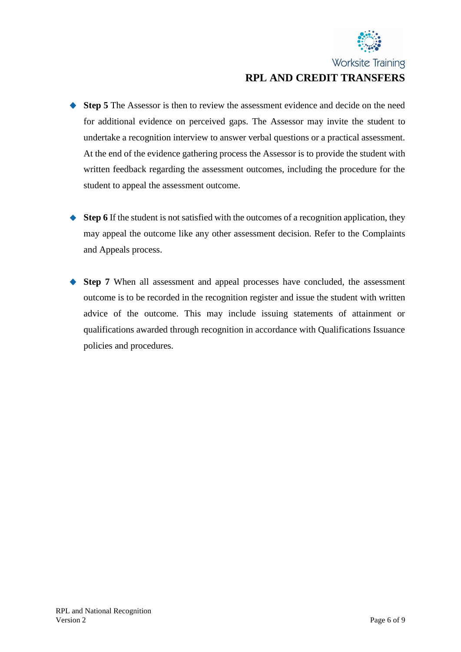

# Worksite Training **RPL AND CREDIT TRANSFERS**

- ◆ **Step 5** The Assessor is then to review the assessment evidence and decide on the need for additional evidence on perceived gaps. The Assessor may invite the student to undertake a recognition interview to answer verbal questions or a practical assessment. At the end of the evidence gathering process the Assessor is to provide the student with written feedback regarding the assessment outcomes, including the procedure for the student to appeal the assessment outcome.
- ◆ **Step 6** If the student is not satisfied with the outcomes of a recognition application, they may appeal the outcome like any other assessment decision. Refer to the Complaints and Appeals process.
- ◆ **Step 7** When all assessment and appeal processes have concluded, the assessment outcome is to be recorded in the recognition register and issue the student with written advice of the outcome. This may include issuing statements of attainment or qualifications awarded through recognition in accordance with Qualifications Issuance policies and procedures.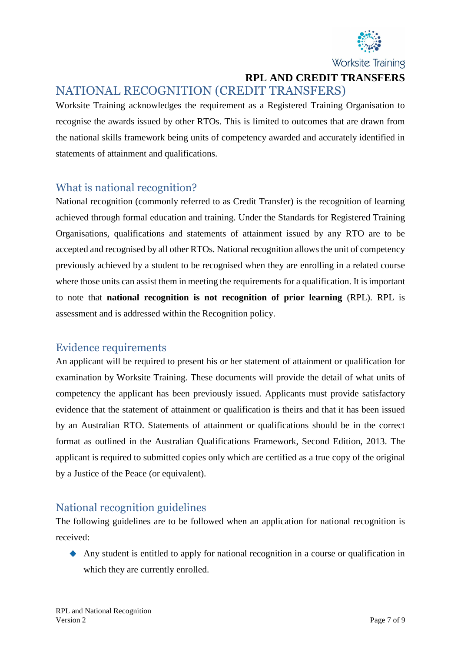

**RPL AND CREDIT TRANSFERS**

# <span id="page-6-0"></span>NATIONAL RECOGNITION (CREDIT TRANSFERS)

Worksite Training acknowledges the requirement as a Registered Training Organisation to recognise the awards issued by other RTOs. This is limited to outcomes that are drawn from the national skills framework being units of competency awarded and accurately identified in statements of attainment and qualifications.

#### <span id="page-6-1"></span>What is national recognition?

National recognition (commonly referred to as Credit Transfer) is the recognition of learning achieved through formal education and training. Under the Standards for Registered Training Organisations, qualifications and statements of attainment issued by any RTO are to be accepted and recognised by all other RTOs. National recognition allows the unit of competency previously achieved by a student to be recognised when they are enrolling in a related course where those units can assist them in meeting the requirements for a qualification. It is important to note that **national recognition is not recognition of prior learning** (RPL). RPL is assessment and is addressed within the Recognition policy.

#### <span id="page-6-2"></span>Evidence requirements

An applicant will be required to present his or her statement of attainment or qualification for examination by Worksite Training. These documents will provide the detail of what units of competency the applicant has been previously issued. Applicants must provide satisfactory evidence that the statement of attainment or qualification is theirs and that it has been issued by an Australian RTO. Statements of attainment or qualifications should be in the correct format as outlined in the Australian Qualifications Framework, Second Edition, 2013. The applicant is required to submitted copies only which are certified as a true copy of the original by a Justice of the Peace (or equivalent).

## <span id="page-6-3"></span>National recognition guidelines

The following guidelines are to be followed when an application for national recognition is received:

Any student is entitled to apply for national recognition in a course or qualification in which they are currently enrolled.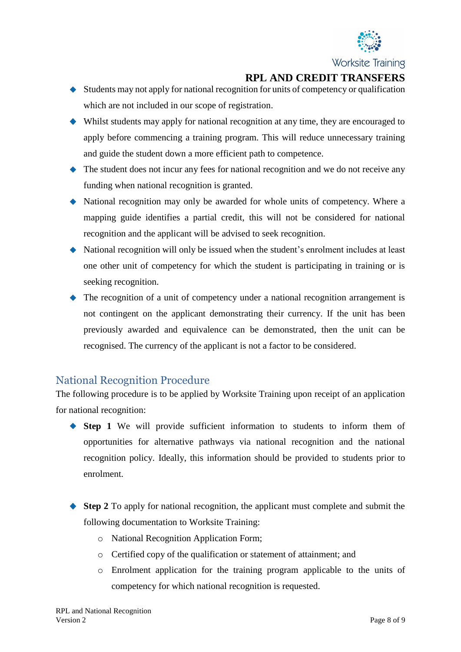

## **RPL AND CREDIT TRANSFERS**

- $\blacklozenge$  Students may not apply for national recognition for units of competency or qualification which are not included in our scope of registration.
- Whilst students may apply for national recognition at any time, they are encouraged to apply before commencing a training program. This will reduce unnecessary training and guide the student down a more efficient path to competence.
- The student does not incur any fees for national recognition and we do not receive any funding when national recognition is granted.
- National recognition may only be awarded for whole units of competency. Where a mapping guide identifies a partial credit, this will not be considered for national recognition and the applicant will be advised to seek recognition.
- National recognition will only be issued when the student's enrolment includes at least one other unit of competency for which the student is participating in training or is seeking recognition.
- The recognition of a unit of competency under a national recognition arrangement is not contingent on the applicant demonstrating their currency. If the unit has been previously awarded and equivalence can be demonstrated, then the unit can be recognised. The currency of the applicant is not a factor to be considered.

#### <span id="page-7-0"></span>National Recognition Procedure

The following procedure is to be applied by Worksite Training upon receipt of an application for national recognition:

- **Step 1** We will provide sufficient information to students to inform them of opportunities for alternative pathways via national recognition and the national recognition policy. Ideally, this information should be provided to students prior to enrolment.
- ◆ **Step 2** To apply for national recognition, the applicant must complete and submit the following documentation to Worksite Training:
	- o National Recognition Application Form;
	- o Certified copy of the qualification or statement of attainment; and
	- o Enrolment application for the training program applicable to the units of competency for which national recognition is requested.